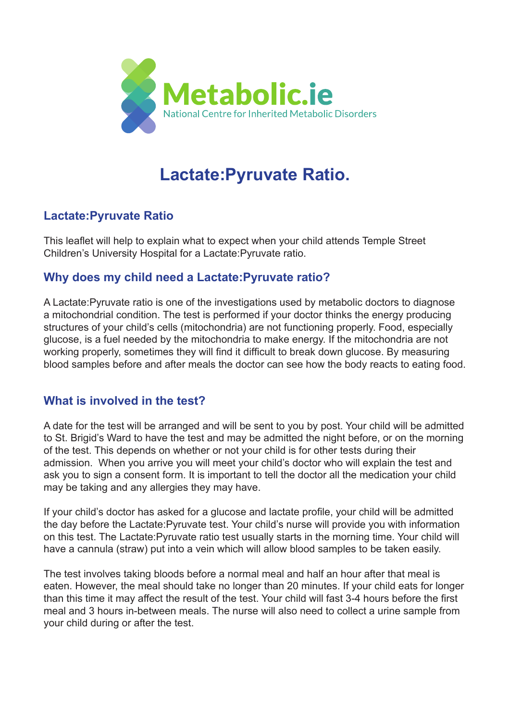

# **Lactate:Pyruvate Ratio.**

## **Lactate:Pyruvate Ratio**

This leaflet will help to explain what to expect when your child attends Temple Street Children's University Hospital for a Lactate:Pyruvate ratio.

## **Why does my child need a Lactate:Pyruvate ratio?**

A Lactate:Pyruvate ratio is one of the investigations used by metabolic doctors to diagnose a mitochondrial condition. The test is performed if your doctor thinks the energy producing structures of your child's cells (mitochondria) are not functioning properly. Food, especially glucose, is a fuel needed by the mitochondria to make energy. If the mitochondria are not working properly, sometimes they will find it difficult to break down glucose. By measuring blood samples before and after meals the doctor can see how the body reacts to eating food.

## **What is involved in the test?**

A date for the test will be arranged and will be sent to you by post. Your child will be admitted to St. Brigid's Ward to have the test and may be admitted the night before, or on the morning of the test. This depends on whether or not your child is for other tests during their admission. When you arrive you will meet your child's doctor who will explain the test and ask you to sign a consent form. It is important to tell the doctor all the medication your child may be taking and any allergies they may have.

If your child's doctor has asked for a glucose and lactate profile, your child will be admitted the day before the Lactate:Pyruvate test. Your child's nurse will provide you with information on this test. The Lactate:Pyruvate ratio test usually starts in the morning time. Your child will have a cannula (straw) put into a vein which will allow blood samples to be taken easily.

The test involves taking bloods before a normal meal and half an hour after that meal is eaten. However, the meal should take no longer than 20 minutes. If your child eats for longer than this time it may affect the result of the test. Your child will fast 3-4 hours before the first meal and 3 hours in-between meals. The nurse will also need to collect a urine sample from your child during or after the test.